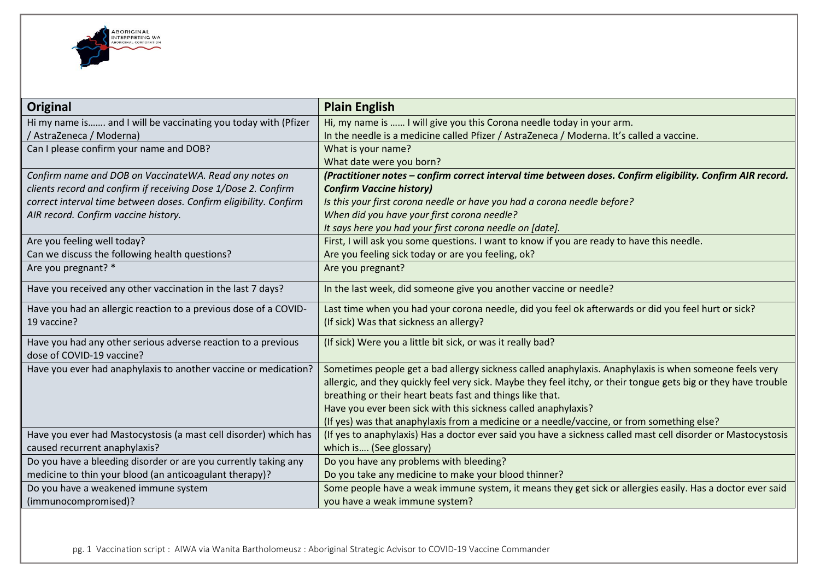

| <b>Original</b>                                                   | <b>Plain English</b>                                                                                            |
|-------------------------------------------------------------------|-----------------------------------------------------------------------------------------------------------------|
| Hi my name is and I will be vaccinating you today with (Pfizer    | Hi, my name is  I will give you this Corona needle today in your arm.                                           |
| / AstraZeneca / Moderna)                                          | In the needle is a medicine called Pfizer / AstraZeneca / Moderna. It's called a vaccine.                       |
| Can I please confirm your name and DOB?                           | What is your name?                                                                                              |
|                                                                   | What date were you born?                                                                                        |
| Confirm name and DOB on VaccinateWA. Read any notes on            | (Practitioner notes - confirm correct interval time between doses. Confirm eligibility. Confirm AIR record.     |
| clients record and confirm if receiving Dose 1/Dose 2. Confirm    | <b>Confirm Vaccine history)</b>                                                                                 |
| correct interval time between doses. Confirm eligibility. Confirm | Is this your first corona needle or have you had a corona needle before?                                        |
| AIR record. Confirm vaccine history.                              | When did you have your first corona needle?                                                                     |
|                                                                   | It says here you had your first corona needle on [date].                                                        |
| Are you feeling well today?                                       | First, I will ask you some questions. I want to know if you are ready to have this needle.                      |
| Can we discuss the following health questions?                    | Are you feeling sick today or are you feeling, ok?                                                              |
| Are you pregnant? *                                               | Are you pregnant?                                                                                               |
| Have you received any other vaccination in the last 7 days?       | In the last week, did someone give you another vaccine or needle?                                               |
| Have you had an allergic reaction to a previous dose of a COVID-  | Last time when you had your corona needle, did you feel ok afterwards or did you feel hurt or sick?             |
| 19 vaccine?                                                       | (If sick) Was that sickness an allergy?                                                                         |
| Have you had any other serious adverse reaction to a previous     | (If sick) Were you a little bit sick, or was it really bad?                                                     |
| dose of COVID-19 vaccine?                                         |                                                                                                                 |
| Have you ever had anaphylaxis to another vaccine or medication?   | Sometimes people get a bad allergy sickness called anaphylaxis. Anaphylaxis is when someone feels very          |
|                                                                   | allergic, and they quickly feel very sick. Maybe they feel itchy, or their tongue gets big or they have trouble |
|                                                                   | breathing or their heart beats fast and things like that.                                                       |
|                                                                   | Have you ever been sick with this sickness called anaphylaxis?                                                  |
|                                                                   | (If yes) was that anaphylaxis from a medicine or a needle/vaccine, or from something else?                      |
| Have you ever had Mastocystosis (a mast cell disorder) which has  | (If yes to anaphylaxis) Has a doctor ever said you have a sickness called mast cell disorder or Mastocystosis   |
| caused recurrent anaphylaxis?                                     | which is (See glossary)                                                                                         |
| Do you have a bleeding disorder or are you currently taking any   | Do you have any problems with bleeding?                                                                         |
| medicine to thin your blood (an anticoagulant therapy)?           | Do you take any medicine to make your blood thinner?                                                            |
| Do you have a weakened immune system                              | Some people have a weak immune system, it means they get sick or allergies easily. Has a doctor ever said       |
| (immunocompromised)?                                              | you have a weak immune system?                                                                                  |

pg. 1 Vaccination script : AIWA via Wanita Bartholomeusz : Aboriginal Strategic Advisor to COVID-19 Vaccine Commander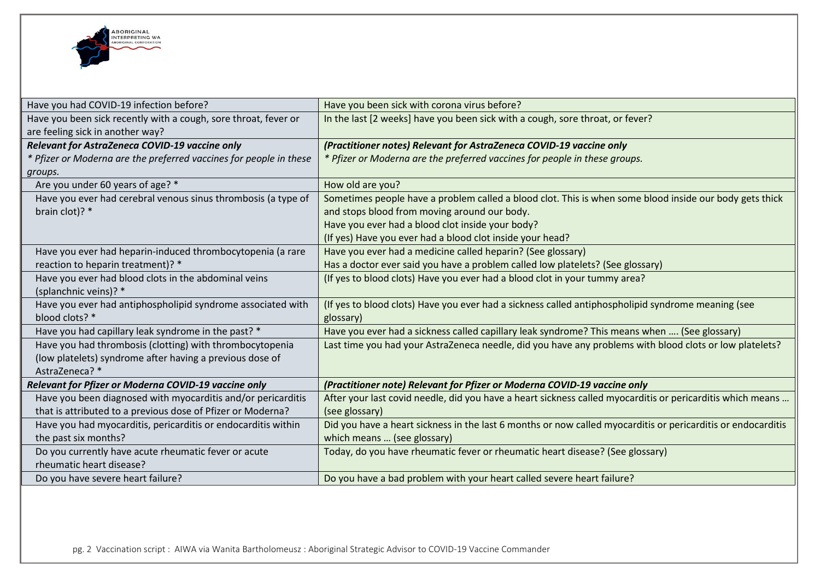

| Have you had COVID-19 infection before?                            | Have you been sick with corona virus before?                                                                 |
|--------------------------------------------------------------------|--------------------------------------------------------------------------------------------------------------|
| Have you been sick recently with a cough, sore throat, fever or    | In the last [2 weeks] have you been sick with a cough, sore throat, or fever?                                |
| are feeling sick in another way?                                   |                                                                                                              |
| Relevant for AstraZeneca COVID-19 vaccine only                     | (Practitioner notes) Relevant for AstraZeneca COVID-19 vaccine only                                          |
| * Pfizer or Moderna are the preferred vaccines for people in these | * Pfizer or Moderna are the preferred vaccines for people in these groups.                                   |
| groups.                                                            |                                                                                                              |
| Are you under 60 years of age? *                                   | How old are you?                                                                                             |
| Have you ever had cerebral venous sinus thrombosis (a type of      | Sometimes people have a problem called a blood clot. This is when some blood inside our body gets thick      |
| brain clot)? *                                                     | and stops blood from moving around our body.                                                                 |
|                                                                    | Have you ever had a blood clot inside your body?                                                             |
|                                                                    | (If yes) Have you ever had a blood clot inside your head?                                                    |
| Have you ever had heparin-induced thrombocytopenia (a rare         | Have you ever had a medicine called heparin? (See glossary)                                                  |
| reaction to heparin treatment)? *                                  | Has a doctor ever said you have a problem called low platelets? (See glossary)                               |
| Have you ever had blood clots in the abdominal veins               | (If yes to blood clots) Have you ever had a blood clot in your tummy area?                                   |
| (splanchnic veins)? *                                              |                                                                                                              |
| Have you ever had antiphospholipid syndrome associated with        | (If yes to blood clots) Have you ever had a sickness called antiphospholipid syndrome meaning (see           |
| blood clots? *                                                     | glossary)                                                                                                    |
| Have you had capillary leak syndrome in the past? *                | Have you ever had a sickness called capillary leak syndrome? This means when  (See glossary)                 |
| Have you had thrombosis (clotting) with thrombocytopenia           | Last time you had your AstraZeneca needle, did you have any problems with blood clots or low platelets?      |
| (low platelets) syndrome after having a previous dose of           |                                                                                                              |
| AstraZeneca? *                                                     |                                                                                                              |
| Relevant for Pfizer or Moderna COVID-19 vaccine only               | (Practitioner note) Relevant for Pfizer or Moderna COVID-19 vaccine only                                     |
| Have you been diagnosed with myocarditis and/or pericarditis       | After your last covid needle, did you have a heart sickness called myocarditis or pericarditis which means   |
| that is attributed to a previous dose of Pfizer or Moderna?        | (see glossary)                                                                                               |
| Have you had myocarditis, pericarditis or endocarditis within      | Did you have a heart sickness in the last 6 months or now called myocarditis or pericarditis or endocarditis |
| the past six months?                                               | which means  (see glossary)                                                                                  |
| Do you currently have acute rheumatic fever or acute               | Today, do you have rheumatic fever or rheumatic heart disease? (See glossary)                                |
| rheumatic heart disease?                                           |                                                                                                              |
| Do you have severe heart failure?                                  | Do you have a bad problem with your heart called severe heart failure?                                       |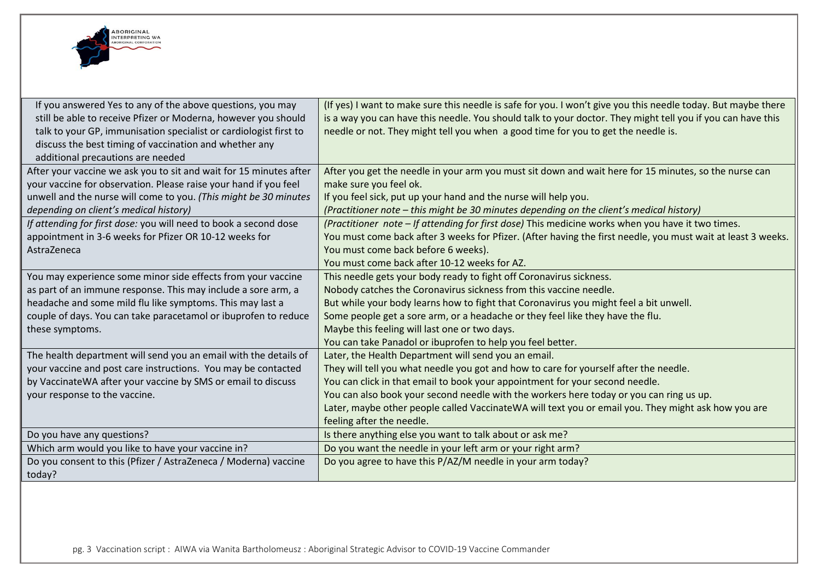

| If you answered Yes to any of the above questions, you may<br>still be able to receive Pfizer or Moderna, however you should<br>talk to your GP, immunisation specialist or cardiologist first to<br>discuss the best timing of vaccination and whether any<br>additional precautions are needed | (If yes) I want to make sure this needle is safe for you. I won't give you this needle today. But maybe there<br>is a way you can have this needle. You should talk to your doctor. They might tell you if you can have this<br>needle or not. They might tell you when a good time for you to get the needle is. |
|--------------------------------------------------------------------------------------------------------------------------------------------------------------------------------------------------------------------------------------------------------------------------------------------------|-------------------------------------------------------------------------------------------------------------------------------------------------------------------------------------------------------------------------------------------------------------------------------------------------------------------|
| After your vaccine we ask you to sit and wait for 15 minutes after<br>your vaccine for observation. Please raise your hand if you feel                                                                                                                                                           | After you get the needle in your arm you must sit down and wait here for 15 minutes, so the nurse can<br>make sure you feel ok.                                                                                                                                                                                   |
| unwell and the nurse will come to you. (This might be 30 minutes                                                                                                                                                                                                                                 | If you feel sick, put up your hand and the nurse will help you.                                                                                                                                                                                                                                                   |
| depending on client's medical history)                                                                                                                                                                                                                                                           | (Practitioner note - this might be 30 minutes depending on the client's medical history)                                                                                                                                                                                                                          |
| If attending for first dose: you will need to book a second dose                                                                                                                                                                                                                                 | (Practitioner note - If attending for first dose) This medicine works when you have it two times.                                                                                                                                                                                                                 |
| appointment in 3-6 weeks for Pfizer OR 10-12 weeks for                                                                                                                                                                                                                                           | You must come back after 3 weeks for Pfizer. (After having the first needle, you must wait at least 3 weeks.                                                                                                                                                                                                      |
| AstraZeneca                                                                                                                                                                                                                                                                                      | You must come back before 6 weeks).                                                                                                                                                                                                                                                                               |
|                                                                                                                                                                                                                                                                                                  | You must come back after 10-12 weeks for AZ.                                                                                                                                                                                                                                                                      |
| You may experience some minor side effects from your vaccine                                                                                                                                                                                                                                     | This needle gets your body ready to fight off Coronavirus sickness.                                                                                                                                                                                                                                               |
| as part of an immune response. This may include a sore arm, a                                                                                                                                                                                                                                    | Nobody catches the Coronavirus sickness from this vaccine needle.                                                                                                                                                                                                                                                 |
| headache and some mild flu like symptoms. This may last a                                                                                                                                                                                                                                        | But while your body learns how to fight that Coronavirus you might feel a bit unwell.                                                                                                                                                                                                                             |
| couple of days. You can take paracetamol or ibuprofen to reduce                                                                                                                                                                                                                                  | Some people get a sore arm, or a headache or they feel like they have the flu.                                                                                                                                                                                                                                    |
| these symptoms.                                                                                                                                                                                                                                                                                  | Maybe this feeling will last one or two days.                                                                                                                                                                                                                                                                     |
|                                                                                                                                                                                                                                                                                                  | You can take Panadol or ibuprofen to help you feel better.                                                                                                                                                                                                                                                        |
| The health department will send you an email with the details of                                                                                                                                                                                                                                 | Later, the Health Department will send you an email.                                                                                                                                                                                                                                                              |
| your vaccine and post care instructions. You may be contacted                                                                                                                                                                                                                                    | They will tell you what needle you got and how to care for yourself after the needle.                                                                                                                                                                                                                             |
| by VaccinateWA after your vaccine by SMS or email to discuss                                                                                                                                                                                                                                     | You can click in that email to book your appointment for your second needle.                                                                                                                                                                                                                                      |
| your response to the vaccine.                                                                                                                                                                                                                                                                    | You can also book your second needle with the workers here today or you can ring us up.                                                                                                                                                                                                                           |
|                                                                                                                                                                                                                                                                                                  | Later, maybe other people called VaccinateWA will text you or email you. They might ask how you are<br>feeling after the needle.                                                                                                                                                                                  |
| Do you have any questions?                                                                                                                                                                                                                                                                       | Is there anything else you want to talk about or ask me?                                                                                                                                                                                                                                                          |
| Which arm would you like to have your vaccine in?                                                                                                                                                                                                                                                | Do you want the needle in your left arm or your right arm?                                                                                                                                                                                                                                                        |
| Do you consent to this (Pfizer / AstraZeneca / Moderna) vaccine<br>today?                                                                                                                                                                                                                        | Do you agree to have this P/AZ/M needle in your arm today?                                                                                                                                                                                                                                                        |